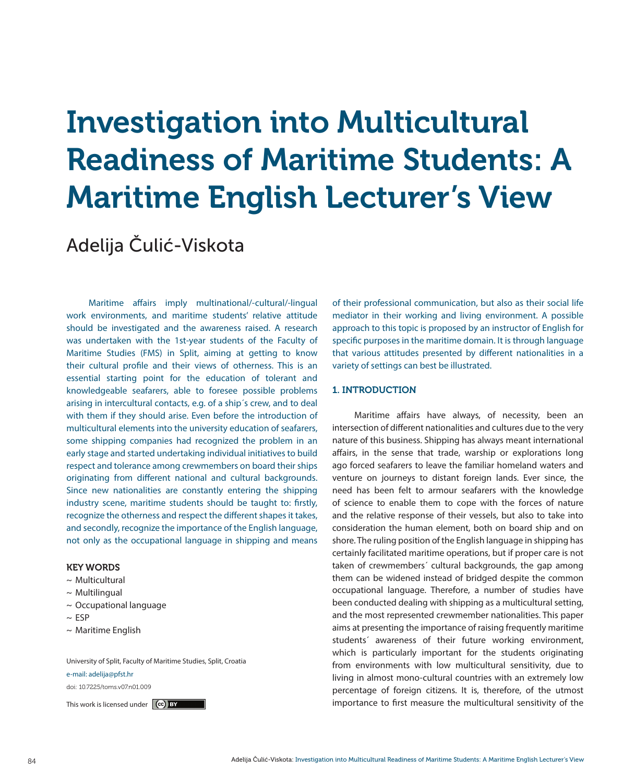# Investigation into Multicultural Readiness of Maritime Students: A Maritime English Lecturer's View

## Adelija Čulić-Viskota

Maritime affairs imply multinational/-cultural/-lingual work environments, and maritime students' relative attitude should be investigated and the awareness raised. A research was undertaken with the 1st-year students of the Faculty of Maritime Studies (FMS) in Split, aiming at getting to know their cultural profile and their views of otherness. This is an essential starting point for the education of tolerant and knowledgeable seafarers, able to foresee possible problems arising in intercultural contacts, e.g. of a ship´s crew, and to deal with them if they should arise. Even before the introduction of multicultural elements into the university education of seafarers, some shipping companies had recognized the problem in an early stage and started undertaking individual initiatives to build respect and tolerance among crewmembers on board their ships originating from different national and cultural backgrounds. Since new nationalities are constantly entering the shipping industry scene, maritime students should be taught to: firstly, recognize the otherness and respect the different shapes it takes, and secondly, recognize the importance of the English language, not only as the occupational language in shipping and means

#### KEY WORDS

- $\sim$  Multicultural
- $\sim$  Multilingual
- ~ Occupational language
- $~\sim$  ESP
- ~ Maritime English

University of Split, Faculty of Maritime Studies, Split, Croatia

#### e-mail: adelija@pfst.hr

doi: 10.7225/toms.v07.n01.009

of their professional communication, but also as their social life mediator in their working and living environment. A possible approach to this topic is proposed by an instructor of English for specific purposes in the maritime domain. It is through language that various attitudes presented by different nationalities in a variety of settings can best be illustrated.

#### 1. INTRODUCTION

Maritime affairs have always, of necessity, been an intersection of different nationalities and cultures due to the very nature of this business. Shipping has always meant international affairs, in the sense that trade, warship or explorations long ago forced seafarers to leave the familiar homeland waters and venture on journeys to distant foreign lands. Ever since, the need has been felt to armour seafarers with the knowledge of science to enable them to cope with the forces of nature and the relative response of their vessels, but also to take into consideration the human element, both on board ship and on shore. The ruling position of the English language in shipping has certainly facilitated maritime operations, but if proper care is not taken of crewmembers´ cultural backgrounds, the gap among them can be widened instead of bridged despite the common occupational language. Therefore, a number of studies have been conducted dealing with shipping as a multicultural setting, and the most represented crewmember nationalities. This paper aims at presenting the importance of raising frequently maritime students´ awareness of their future working environment, which is particularly important for the students originating from environments with low multicultural sensitivity, due to living in almost mono-cultural countries with an extremely low percentage of foreign citizens. It is, therefore, of the utmost This work is licensed under  $\left(\mathbf{e}\right)$  by the multicultural sensitivity of the importance to first measure the multicultural sensitivity of the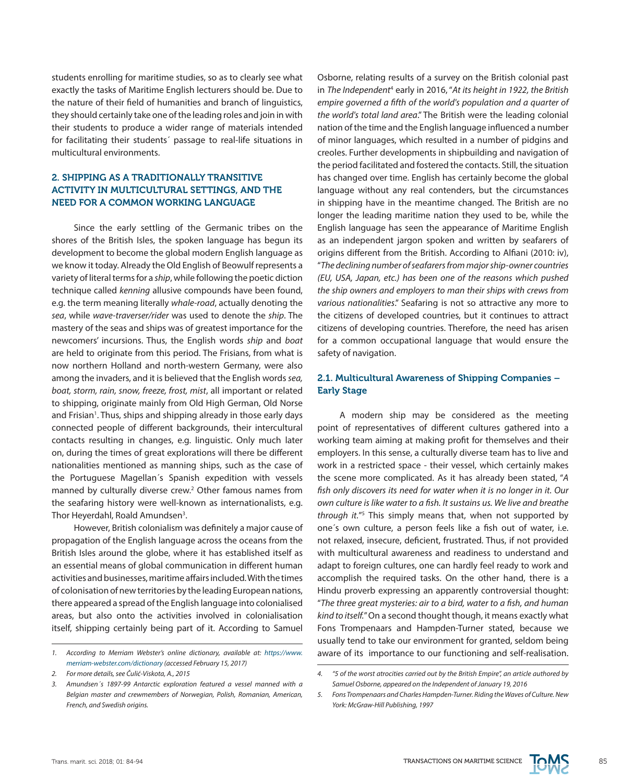students enrolling for maritime studies, so as to clearly see what exactly the tasks of Maritime English lecturers should be. Due to the nature of their field of humanities and branch of linguistics, they should certainly take one of the leading roles and join in with their students to produce a wider range of materials intended for facilitating their students´ passage to real-life situations in multicultural environments.

#### 2. SHIPPING AS A TRADITIONALLY TRANSITIVE ACTIVITY IN MULTICULTURAL SETTINGS, AND THE NEED FOR A COMMON WORKING LANGUAGE

Since the early settling of the Germanic tribes on the shores of the British Isles, the spoken language has begun its development to become the global modern English language as we know it today. Already the Old English of Beowulf represents a variety of literal terms for a *ship*, while following the poetic diction technique called *kenning* allusive compounds have been found, e.g. the term meaning literally *whale-road*, actually denoting the *sea*, while *wave-traverser/rider* was used to denote the *ship*. The mastery of the seas and ships was of greatest importance for the newcomers' incursions. Thus, the English words *ship* and *boat* are held to originate from this period. The Frisians, from what is now northern Holland and north-western Germany, were also among the invaders, and it is believed that the English words *sea, boat, storm, rain, snow, freeze, frost, mist*, all important or related to shipping, originate mainly from Old High German, Old Norse and Frisian<sup>1</sup>. Thus, ships and shipping already in those early days connected people of different backgrounds, their intercultural contacts resulting in changes, e.g. linguistic. Only much later on, during the times of great explorations will there be different nationalities mentioned as manning ships, such as the case of the Portuguese Magellan´s Spanish expedition with vessels manned by culturally diverse crew.<sup>2</sup> Other famous names from the seafaring history were well-known as internationalists, e.g. Thor Heyerdahl, Roald Amundsen<sup>3</sup>.

However, British colonialism was definitely a major cause of propagation of the English language across the oceans from the British Isles around the globe, where it has established itself as an essential means of global communication in different human activities and businesses, maritime affairs included. With the times of colonisation of new territories by the leading European nations, there appeared a spread of the English language into colonialised areas, but also onto the activities involved in colonialisation itself, shipping certainly being part of it. According to Samuel

Osborne, relating results of a survey on the British colonial past in *The Independent*<sup>4</sup> early in 2016, "*At its height in 1922, the British empire governed a fifth of the world's population and a quarter of the world's total land area*." The British were the leading colonial nation of the time and the English language influenced a number of minor languages, which resulted in a number of pidgins and creoles. Further developments in shipbuilding and navigation of the period facilitated and fostered the contacts. Still, the situation has changed over time. English has certainly become the global language without any real contenders, but the circumstances in shipping have in the meantime changed. The British are no longer the leading maritime nation they used to be, while the English language has seen the appearance of Maritime English as an independent jargon spoken and written by seafarers of origins different from the British. According to Alfiani (2010: iv), "*The declining number of seafarers from major ship-owner countries (EU, USA, Japan, etc.) has been one of the reasons which pushed the ship owners and employers to man their ships with crews from various nationalities*." Seafaring is not so attractive any more to the citizens of developed countries, but it continues to attract citizens of developing countries. Therefore, the need has arisen for a common occupational language that would ensure the safety of navigation.

### 2.1. Multicultural Awareness of Shipping Companies – Early Stage

A modern ship may be considered as the meeting point of representatives of different cultures gathered into a working team aiming at making profit for themselves and their employers. In this sense, a culturally diverse team has to live and work in a restricted space - their vessel, which certainly makes the scene more complicated. As it has already been stated, "*A fish only discovers its need for water when it is no longer in it. Our own culture is like water to a fish. It sustains us. We live and breathe through it.*"5 This simply means that, when not supported by one´s own culture, a person feels like a fish out of water, i.e. not relaxed, insecure, deficient, frustrated. Thus, if not provided with multicultural awareness and readiness to understand and adapt to foreign cultures, one can hardly feel ready to work and accomplish the required tasks. On the other hand, there is a Hindu proverb expressing an apparently controversial thought: "*The three great mysteries: air to a bird, water to a fish, and human kind to itself.*" On a second thought though, it means exactly what Fons Trompenaars and Hampden-Turner stated, because we usually tend to take our environment for granted, seldom being *1. According to Merriam Webster's online dictionary, available at: [https://www.](https://www.merriam-webster.com/dictionary)* aware of its importance to our functioning and self-realisation.



*[merriam-webster.com/dictionary](https://www.merriam-webster.com/dictionary) (accessed February 15, 2017)*

*<sup>2.</sup> For more details, see Čulić-Viskota, A., 2015*

*<sup>3.</sup> Amundsen´s 1897-99 Antarctic exploration featured a vessel manned with a Belgian master and crewmembers of Norwegian, Polish, Romanian, American, French, and Swedish origins.*

*<sup>4.</sup> "5 of the worst atrocities carried out by the British Empire", an article authored by Samuel Osborne, appeared on the Independent of January 19, 2016*

*<sup>5.</sup> Fons Trompenaars and Charles Hampden-Turner. Riding the Waves of Culture. New York: McGraw-Hill Publishing, 1997*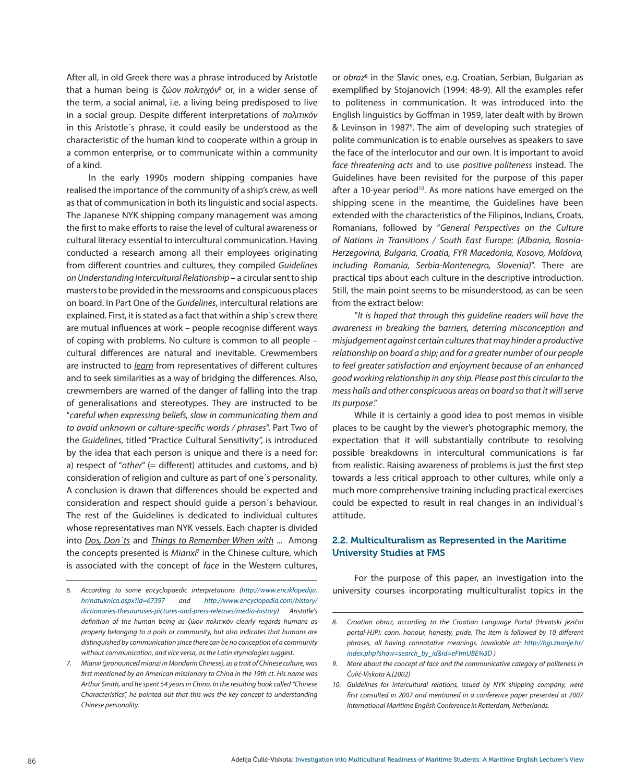After all, in old Greek there was a phrase introduced by Aristotle that a human being is *ζώον πολιτιχόν*6 or, in a wider sense of the term, a social animal, i.e. a living being predisposed to live in a social group. Despite different interpretations of *πoλιτικόν* in this Aristotle´s phrase, it could easily be understood as the characteristic of the human kind to cooperate within a group in a common enterprise, or to communicate within a community of a kind.

In the early 1990s modern shipping companies have realised the importance of the community of a ship's crew, as well as that of communication in both its linguistic and social aspects. The Japanese NYK shipping company management was among the first to make efforts to raise the level of cultural awareness or cultural literacy essential to intercultural communication. Having conducted a research among all their employees originating from different countries and cultures, they compiled *Guidelines on Understanding Intercultural Relationship* – a circular sent to ship masters to be provided in the messrooms and conspicuous places on board. In Part One of the *Guidelines*, intercultural relations are explained. First, it is stated as a fact that within a ship´s crew there are mutual influences at work – people recognise different ways of coping with problems. No culture is common to all people – cultural differences are natural and inevitable. Crewmembers are instructed to *learn* from representatives of different cultures and to seek similarities as a way of bridging the differences. Also, crewmembers are warned of the danger of falling into the trap of generalisations and stereotypes. They are instructed to be "*careful when expressing beliefs, slow in communicating them and to avoid unknown or culture-specific words / phrases*". Part Two of the *Guidelines*, titled "Practice Cultural Sensitivity", is introduced by the idea that each person is unique and there is a need for: a) respect of "other" (= different) attitudes and customs, and b) consideration of religion and culture as part of one´s personality. A conclusion is drawn that differences should be expected and consideration and respect should guide a person´s behaviour. The rest of the Guidelines is dedicated to individual cultures whose representatives man NYK vessels. Each chapter is divided into *Dos, Don´ts* and *Things to Remember When with* ... Among the concepts presented is *Mianxi*<sup>7</sup> in the Chinese culture, which is associated with the concept of *face* in the Western cultures, or *obraz*<sup>8</sup> in the Slavic ones, e.g. Croatian, Serbian, Bulgarian as exemplified by Stojanovich (1994: 48-9). All the examples refer to politeness in communication. It was introduced into the English linguistics by Goffman in 1959, later dealt with by Brown & Levinson in 19879 . The aim of developing such strategies of polite communication is to enable ourselves as speakers to save the face of the interlocutor and our own. It is important to avoid *face threatening acts* and to use *positive politeness* instead. The Guidelines have been revisited for the purpose of this paper after a 10-year period<sup>10</sup>. As more nations have emerged on the shipping scene in the meantime, the Guidelines have been extended with the characteristics of the Filipinos, Indians, Croats, Romanians, followed by "*General Perspectives on the Culture of Nations in Transitions / South East Europe: (Albania, Bosnia-Herzegovina, Bulgaria, Croatia, FYR Macedonia, Kosovo, Moldova, including Romania, Serbia-Montenegro, Slovenia)*". There are practical tips about each culture in the descriptive introduction. Still, the main point seems to be misunderstood, as can be seen from the extract below:

"*It is hoped that through this guideline readers will have the awareness in breaking the barriers, deterring misconception and misjudgement against certain cultures that may hinder a productive relationship on board a ship; and for a greater number of our people to feel greater satisfaction and enjoyment because of an enhanced good working relationship in any ship. Please post this circular to the mess halls and other conspicuous areas on board so that it will serve its purpose*."

While it is certainly a good idea to post memos in visible places to be caught by the viewer's photographic memory, the expectation that it will substantially contribute to resolving possible breakdowns in intercultural communications is far from realistic. Raising awareness of problems is just the first step towards a less critical approach to other cultures, while only a much more comprehensive training including practical exercises could be expected to result in real changes in an individual´s attitude.

#### 2.2. Multiculturalism as Represented in the Maritime University Studies at FMS

For the purpose of this paper, an investigation into the *6. According to some encyclopaedic interpretations ([http://www.enciklopedija.](http://www.enciklopedija.hr/natuknica.aspx%3Fid%3D67397)* university courses incorporating multiculturalist topics in the

*[hr/natuknica.aspx?id=67397](http://www.enciklopedija.hr/natuknica.aspx%3Fid%3D67397) and [http://www.encyclopedia.com/history/](http://www.encyclopedia.com/history/dictionaries-thesauruses-pictures-and-press-releases/media-history) [dictionaries-thesauruses-pictures-and-press-releases/media-history\)](http://www.encyclopedia.com/history/dictionaries-thesauruses-pictures-and-press-releases/media-history) Aristotle's definition of the human being as ζ*ώ*ον πoλιτικόν clearly regards humans as properly belonging to a polis or community, but also indicates that humans are distinguished by communication since there can be no conception of a community without communication, and vice versa, as the Latin etymologies suggest.* 

*<sup>7.</sup> Mianxi (pronounced mianzi in Mandarin Chinese), as a trait of Chinese culture, was first mentioned by an American missionary to China in the 19th ct. His name was Arthur Smith, and he spent 54 years in China. In the resulting book called "Chinese Characteristics", he pointed out that this was the key concept to understanding Chinese personality.*

*<sup>8.</sup> Croatian obraz, according to the Croatian Language Portal (Hrvatski jezični portal-HJP): conn. honour, honesty, pride. The item is followed by 10 different phrases, all having connotative meanings. (available at: [http://hjp.znanje.hr/](http://hjp.znanje.hr/index.php%3Fshow%3Dsearch_by_id%26id%3DeFtmUBE%253D) [index.php?show=search\\_by\\_id&id=eFtmUBE%3D](http://hjp.znanje.hr/index.php%3Fshow%3Dsearch_by_id%26id%3DeFtmUBE%253D) )*

*<sup>9.</sup> More about the concept of face and the communicative category of politeness in Čulić-Viskota A.(2002)*

*<sup>10.</sup> Guidelines for intercultural relations, issued by NYK shipping company, were first consulted in 2007 and mentioned in a conference paper presented at 2007 International Maritime English Conference in Rotterdam, Netherlands.*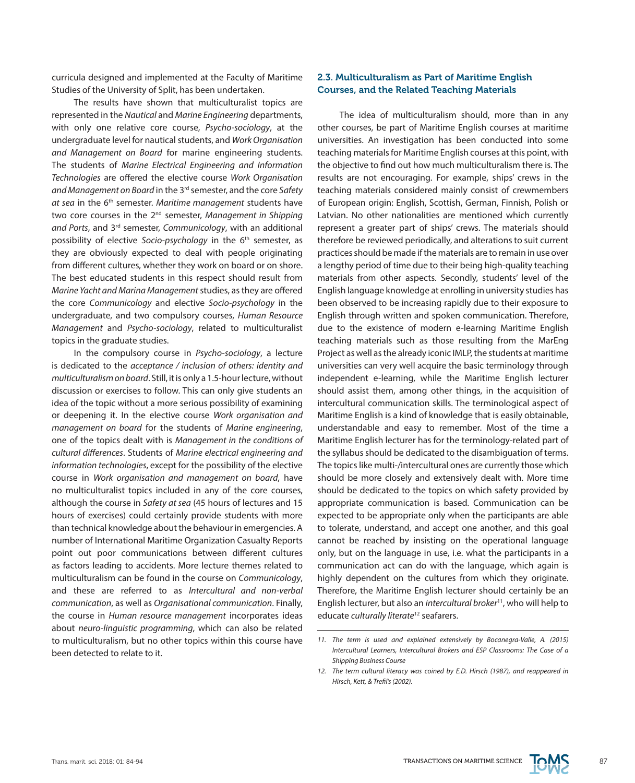curricula designed and implemented at the Faculty of Maritime Studies of the University of Split, has been undertaken.

The results have shown that multiculturalist topics are represented in the *Nautical* and *Marine Engineering* departments, with only one relative core course, *Psycho-sociology*, at the undergraduate level for nautical students, and *Work Organisation and Management on Board* for marine engineering students. The students of *Marine Electrical Engineering and Information Technologies* are offered the elective course *Work Organisation and Management on Board* in the 3rd semester, and the core *Safety at sea* in the 6th semester. *Maritime management* students have two core courses in the 2nd semester, *Management in Shipping and Ports*, and 3rd semester, *Communicology*, with an additional possibility of elective *Socio-psychology* in the 6<sup>th</sup> semester, as they are obviously expected to deal with people originating from different cultures, whether they work on board or on shore. The best educated students in this respect should result from *Marine Yacht and Marina Management* studies, as they are offered the core *Communicology* and elective *Socio-psychology* in the undergraduate, and two compulsory courses, *Human Resource Management* and *Psycho-sociology*, related to multiculturalist topics in the graduate studies.

In the compulsory course in *Psycho-sociology*, a lecture is dedicated to the *acceptance / inclusion of others: identity and multiculturalism on board*. Still, it is only a 1.5-hour lecture, without discussion or exercises to follow. This can only give students an idea of the topic without a more serious possibility of examining or deepening it. In the elective course *Work organisation and management on board* for the students of *Marine engineering*, one of the topics dealt with is *Management in the conditions of cultural differences*. Students of *Marine electrical engineering and information technologies*, except for the possibility of the elective course in *Work organisation and management on board*, have no multiculturalist topics included in any of the core courses, although the course in *Safety at sea* (45 hours of lectures and 15 hours of exercises) could certainly provide students with more than technical knowledge about the behaviour in emergencies. A number of International Maritime Organization Casualty Reports point out poor communications between different cultures as factors leading to accidents. More lecture themes related to multiculturalism can be found in the course on *Communicology*, and these are referred to as *Intercultural and non-verbal communication*, as well as *Organisational communication*. Finally, the course in *Human resource management* incorporates ideas about *neuro-linguistic programming*, which can also be related to multiculturalism, but no other topics within this course have been detected to relate to it.

#### 2.3. Multiculturalism as Part of Maritime English Courses, and the Related Teaching Materials

The idea of multiculturalism should, more than in any other courses, be part of Maritime English courses at maritime universities. An investigation has been conducted into some teaching materials for Maritime English courses at this point, with the objective to find out how much multiculturalism there is. The results are not encouraging. For example, ships' crews in the teaching materials considered mainly consist of crewmembers of European origin: English, Scottish, German, Finnish, Polish or Latvian. No other nationalities are mentioned which currently represent a greater part of ships' crews. The materials should therefore be reviewed periodically, and alterations to suit current practices should be made if the materials are to remain in use over a lengthy period of time due to their being high-quality teaching materials from other aspects. Secondly, students' level of the English language knowledge at enrolling in university studies has been observed to be increasing rapidly due to their exposure to English through written and spoken communication. Therefore, due to the existence of modern e-learning Maritime English teaching materials such as those resulting from the MarEng Project as well as the already iconic IMLP, the students at maritime universities can very well acquire the basic terminology through independent e-learning, while the Maritime English lecturer should assist them, among other things, in the acquisition of intercultural communication skills. The terminological aspect of Maritime English is a kind of knowledge that is easily obtainable, understandable and easy to remember. Most of the time a Maritime English lecturer has for the terminology-related part of the syllabus should be dedicated to the disambiguation of terms. The topics like multi-/intercultural ones are currently those which should be more closely and extensively dealt with. More time should be dedicated to the topics on which safety provided by appropriate communication is based. Communication can be expected to be appropriate only when the participants are able to tolerate, understand, and accept one another, and this goal cannot be reached by insisting on the operational language only, but on the language in use, i.e. what the participants in a communication act can do with the language, which again is highly dependent on the cultures from which they originate. Therefore, the Maritime English lecturer should certainly be an English lecturer, but also an *intercultural broker*11, who will help to educate *culturally literate*12 seafarers.



*<sup>11.</sup> The term is used and explained extensively by Bocanegra-Valle, A. (2015) Intercultural Learners, Intercultural Brokers and ESP Classrooms: The Case of a Shipping Business Course*

*<sup>12.</sup> The term cultural literacy was coined by E.D. Hirsch (1987), and reappeared in Hirsch, Kett, & Trefil's (2002).*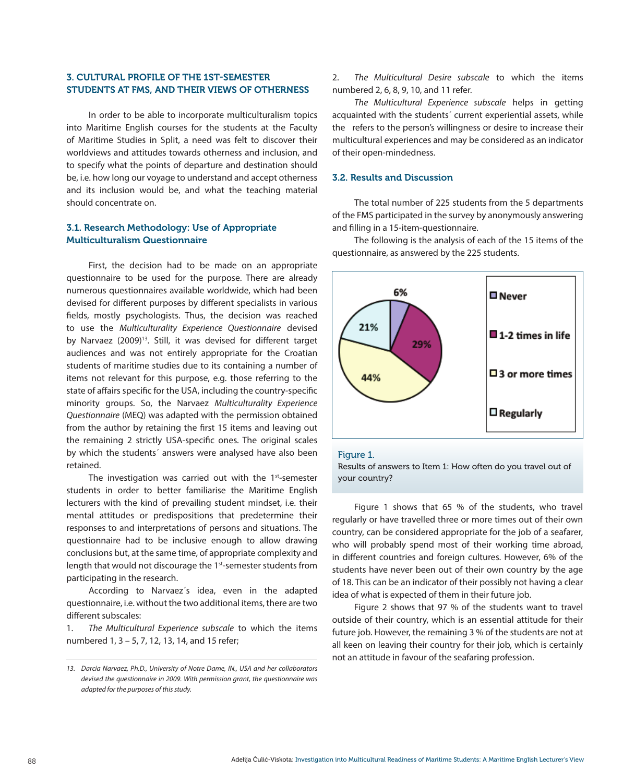#### 3. CULTURAL PROFILE OF THE 1ST-SEMESTER STUDENTS AT FMS, AND THEIR VIEWS OF OTHERNESS

In order to be able to incorporate multiculturalism topics into Maritime English courses for the students at the Faculty of Maritime Studies in Split, a need was felt to discover their worldviews and attitudes towards otherness and inclusion, and to specify what the points of departure and destination should be, i.e. how long our voyage to understand and accept otherness and its inclusion would be, and what the teaching material should concentrate on.

#### 3.1. Research Methodology: Use of Appropriate Multiculturalism Questionnaire

First, the decision had to be made on an appropriate questionnaire to be used for the purpose. There are already numerous questionnaires available worldwide, which had been devised for different purposes by different specialists in various fields, mostly psychologists. Thus, the decision was reached to use the *Multiculturality Experience Questionnaire* devised by Narvaez (2009)<sup>13</sup>. Still, it was devised for different target audiences and was not entirely appropriate for the Croatian students of maritime studies due to its containing a number of items not relevant for this purpose, e.g. those referring to the state of affairs specific for the USA, including the country-specific minority groups. So, the Narvaez *Multiculturality Experience Questionnaire* (MEQ) was adapted with the permission obtained from the author by retaining the first 15 items and leaving out the remaining 2 strictly USA-specific ones. The original scales by which the students´ answers were analysed have also been retained.

The investigation was carried out with the 1st-semester students in order to better familiarise the Maritime English lecturers with the kind of prevailing student mindset, i.e. their mental attitudes or predispositions that predetermine their responses to and interpretations of persons and situations. The questionnaire had to be inclusive enough to allow drawing conclusions but, at the same time, of appropriate complexity and length that would not discourage the 1<sup>st</sup>-semester students from participating in the research.

According to Narvaez´s idea, even in the adapted questionnaire, i.e. without the two additional items, there are two different subscales:

1. *The Multicultural Experience subscale* to which the items numbered 1, 3 – 5, 7, 12, 13, 14, and 15 refer;

2. *The Multicultural Desire subscale* to which the items numbered 2, 6, 8, 9, 10, and 11 refer.

*The Multicultural Experience subscale* helps in getting acquainted with the students´ current experiential assets, while the refers to the person's willingness or desire to increase their multicultural experiences and may be considered as an indicator of their open-mindedness.

#### 3.2. Results and Discussion

The total number of 225 students from the 5 departments of the FMS participated in the survey by anonymously answering and filling in a 15-item-questionnaire.

The following is the analysis of each of the 15 items of the questionnaire, as answered by the 225 students.



#### Figure 1.

Results of answers to Item 1: How often do you travel out of your country?

Figure 1 shows that 65 % of the students, who travel regularly or have travelled three or more times out of their own country, can be considered appropriate for the job of a seafarer, who will probably spend most of their working time abroad, in different countries and foreign cultures. However, 6% of the students have never been out of their own country by the age of 18. This can be an indicator of their possibly not having a clear idea of what is expected of them in their future job.

Figure 2 shows that 97 % of the students want to travel outside of their country, which is an essential attitude for their future job. However, the remaining 3 % of the students are not at all keen on leaving their country for their job, which is certainly not an attitude in favour of the seafaring profession.

*<sup>13.</sup> Darcia Narvaez, Ph.D., University of Notre Dame, IN., USA and her collaborators devised the questionnaire in 2009. With permission grant, the questionnaire was adapted for the purposes of this study.*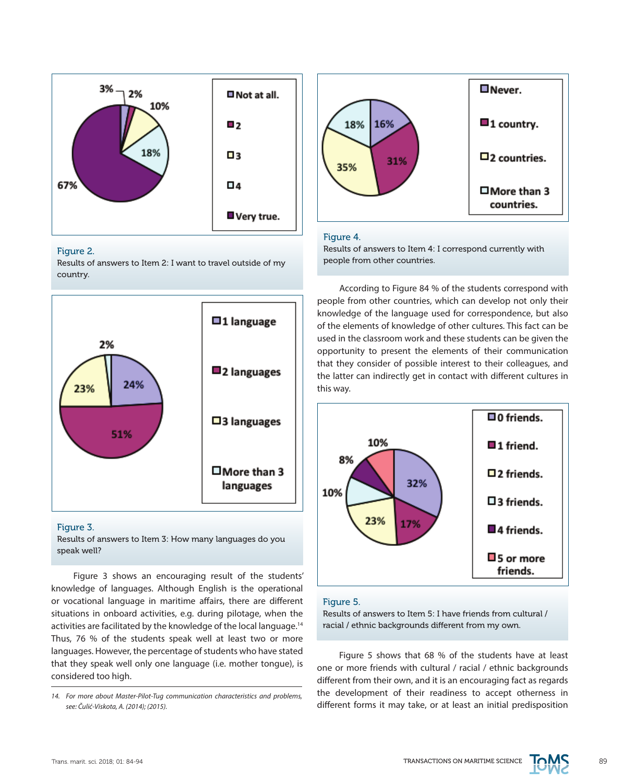

#### Figure 2.

Results of answers to Item 2: I want to travel outside of my country.



#### Figure 3.

Results of answers to Item 3: How many languages do you speak well?

Figure 3 shows an encouraging result of the students' knowledge of languages. Although English is the operational or vocational language in maritime affairs, there are different situations in onboard activities, e.g. during pilotage, when the activities are facilitated by the knowledge of the local language.<sup>14</sup> Thus, 76 % of the students speak well at least two or more languages. However, the percentage of students who have stated that they speak well only one language (i.e. mother tongue), is considered too high.



#### Figure 4.

Results of answers to Item 4: I correspond currently with people from other countries.

According to Figure 84 % of the students correspond with people from other countries, which can develop not only their knowledge of the language used for correspondence, but also of the elements of knowledge of other cultures. This fact can be used in the classroom work and these students can be given the opportunity to present the elements of their communication that they consider of possible interest to their colleagues, and the latter can indirectly get in contact with different cultures in this way.



#### Figure 5.

Results of answers to Item 5: I have friends from cultural / racial / ethnic backgrounds different from my own.

Figure 5 shows that 68 % of the students have at least one or more friends with cultural / racial / ethnic backgrounds different from their own, and it is an encouraging fact as regards the development of their readiness to accept otherness in different forms it may take, or at least an initial predisposition



*<sup>14.</sup> For more about Master-Pilot-Tug communication characteristics and problems, see: Čulić-Viskota, A. (2014); (2015).*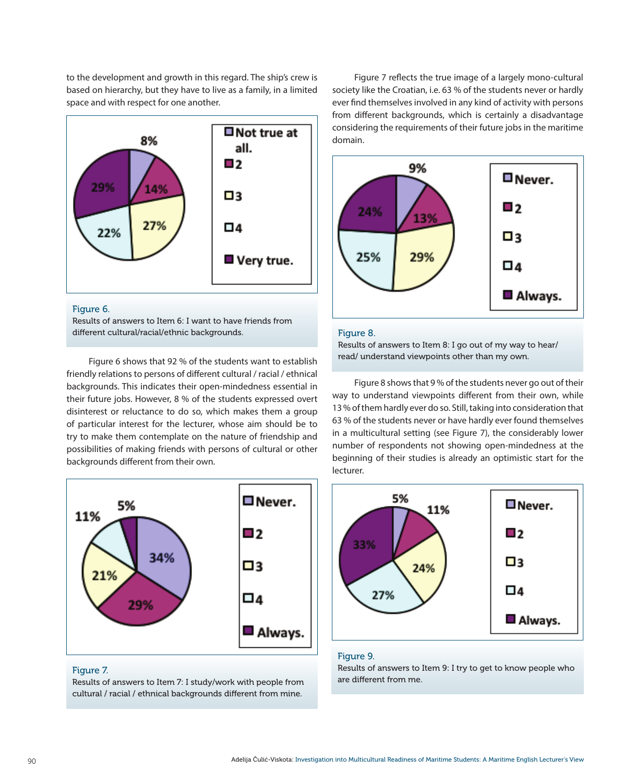to the development and growth in this regard. The ship's crew is based on hierarchy, but they have to live as a family, in a limited space and with respect for one another.



#### Figure 6.

Results of answers to Item 6: I want to have friends from different cultural/racial/ethnic backgrounds. The result of Figure 8.

Figure 6 shows that 92 % of the students want to establish friendly relations to persons of different cultural / racial / ethnical backgrounds. This indicates their open-mindedness essential in their future jobs. However, 8 % of the students expressed overt disinterest or reluctance to do so, which makes them a group of particular interest for the lecturer, whose aim should be to try to make them contemplate on the nature of friendship and possibilities of making friends with persons of cultural or other backgrounds different from their own.



#### Figure 7.

Results of answers to Item 7: I study/work with people from cultural / racial / ethnical backgrounds different from mine.

Figure 7 reflects the true image of a largely mono-cultural society like the Croatian, i.e. 63 % of the students never or hardly ever find themselves involved in any kind of activity with persons from different backgrounds, which is certainly a disadvantage considering the requirements of their future jobs in the maritime domain.



Results of answers to Item 8: I go out of my way to hear/ read/ understand viewpoints other than my own.

Figure 8 shows that 9 % of the students never go out of their way to understand viewpoints different from their own, while 13 % of them hardly ever do so. Still, taking into consideration that 63 % of the students never or have hardly ever found themselves in a multicultural setting (see Figure 7), the considerably lower number of respondents not showing open-mindedness at the beginning of their studies is already an optimistic start for the lecturer.



#### Figure 9.

Results of answers to Item 9: I try to get to know people who are different from me.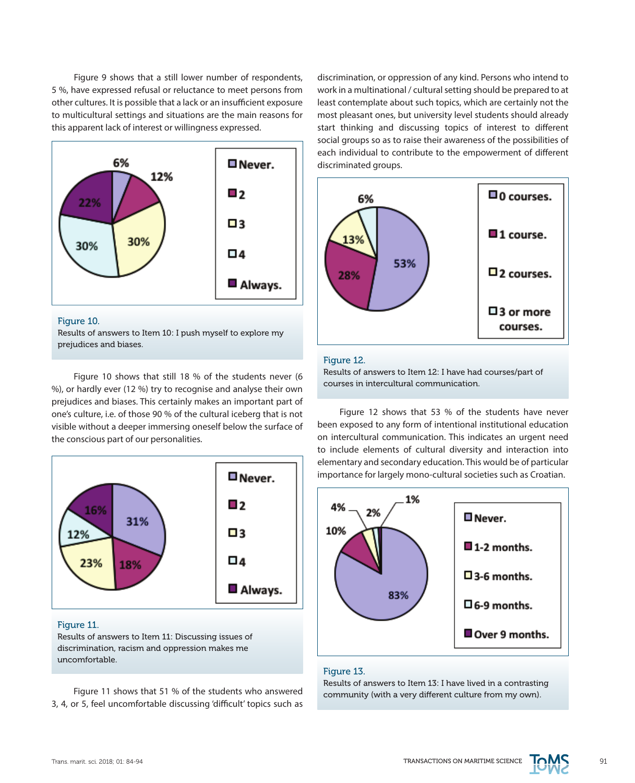Figure 9 shows that a still lower number of respondents, 5 %, have expressed refusal or reluctance to meet persons from other cultures. It is possible that a lack or an insufficient exposure to multicultural settings and situations are the main reasons for this apparent lack of interest or willingness expressed.



#### Figure 10.

Results of answers to Item 10: I push myself to explore my prejudices and biases.

Figure 10 shows that still 18 % of the students never (6 %), or hardly ever (12 %) try to recognise and analyse their own prejudices and biases. This certainly makes an important part of one's culture, i.e. of those 90 % of the cultural iceberg that is not visible without a deeper immersing oneself below the surface of the conscious part of our personalities.



#### Figure 11.

Results of answers to Item 11: Discussing issues of discrimination, racism and oppression makes me uncomfortable.

Figure 11 shows that 51 % of the students who answered 3, 4, or 5, feel uncomfortable discussing 'difficult' topics such as discrimination, or oppression of any kind. Persons who intend to work in a multinational / cultural setting should be prepared to at least contemplate about such topics, which are certainly not the most pleasant ones, but university level students should already start thinking and discussing topics of interest to different social groups so as to raise their awareness of the possibilities of each individual to contribute to the empowerment of different discriminated groups.



#### Figure 12.

Results of answers to Item 12: I have had courses/part of courses in intercultural communication.

Figure 12 shows that 53 % of the students have never been exposed to any form of intentional institutional education on intercultural communication. This indicates an urgent need to include elements of cultural diversity and interaction into elementary and secondary education. This would be of particular importance for largely mono-cultural societies such as Croatian.



#### Figure 13.

Results of answers to Item 13: I have lived in a contrasting community (with a very different culture from my own).

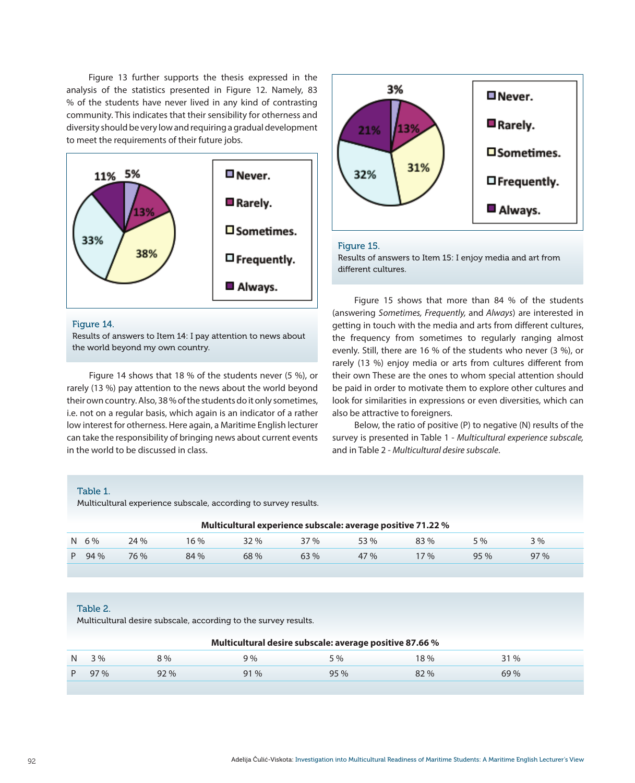Figure 13 further supports the thesis expressed in the analysis of the statistics presented in Figure 12. Namely, 83 % of the students have never lived in any kind of contrasting community. This indicates that their sensibility for otherness and diversity should be very low and requiring a gradual development to meet the requirements of their future jobs.



#### Figure 14.

Results of answers to Item 14: I pay attention to news about the world beyond my own country.

Figure 14 shows that 18 % of the students never (5 %), or rarely (13 %) pay attention to the news about the world beyond their own country. Also, 38 % of the students do it only sometimes, i.e. not on a regular basis, which again is an indicator of a rather low interest for otherness. Here again, a Maritime English lecturer can take the responsibility of bringing news about current events in the world to be discussed in class.



#### Figure 15.

Results of answers to Item 15: I enjoy media and art from different cultures.

Figure 15 shows that more than 84 % of the students (answering *Sometimes, Frequently,* and *Always*) are interested in getting in touch with the media and arts from different cultures, the frequency from sometimes to regularly ranging almost evenly. Still, there are 16 % of the students who never (3 %), or rarely (13 %) enjoy media or arts from cultures different from their own These are the ones to whom special attention should be paid in order to motivate them to explore other cultures and look for similarities in expressions or even diversities, which can also be attractive to foreigners.

Below, the ratio of positive (P) to negative (N) results of the survey is presented in Table 1 - *Multicultural experience subscale,* and in Table 2 - *Multicultural desire subscale*.

#### Table 1.

Multicultural experience subscale, according to survey results.

| Multicultural experience subscale: average positive 71.22 % |           |      |      |        |     |      |        |     |     |  |  |
|-------------------------------------------------------------|-----------|------|------|--------|-----|------|--------|-----|-----|--|--|
|                                                             | $N = 6\%$ | 24%  | 16 % | $32\%$ | 37% | 53 % | 83%    | 5 % | 3%  |  |  |
|                                                             | P 94 %    | 76 % | 84 % | 68 %   | 63% | 47 % | $17\%$ | 95% | 97% |  |  |

#### Table 2.

Multicultural desire subscale, according to the survey results.

|    | Multicultural desire subscale: average positive 87.66 % |     |        |     |     |      |  |  |  |  |  |
|----|---------------------------------------------------------|-----|--------|-----|-----|------|--|--|--|--|--|
| N  | 3%                                                      | 8%  | 9%     | 5 % | 18% | 31 % |  |  |  |  |  |
| P. | 97%                                                     | 92% | $91\%$ | 95% | 82% | 69%  |  |  |  |  |  |
|    |                                                         |     |        |     |     |      |  |  |  |  |  |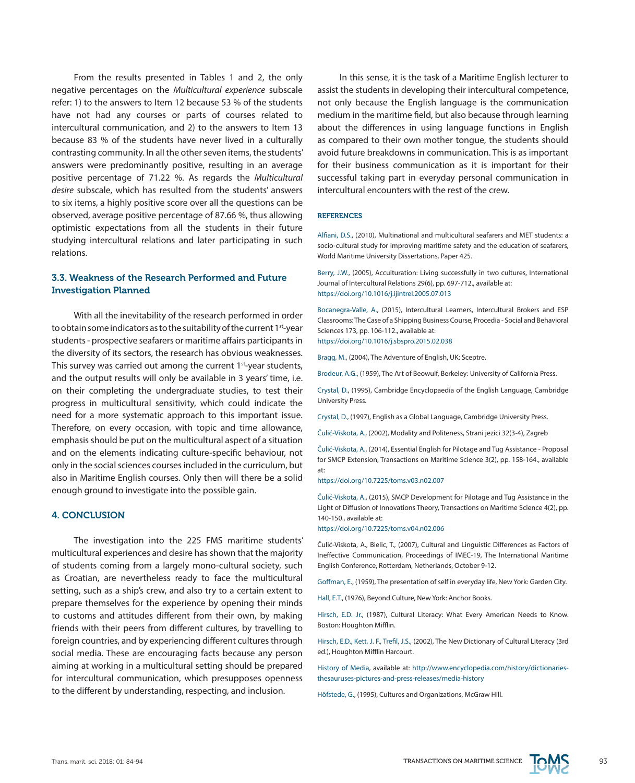From the results presented in Tables 1 and 2, the only negative percentages on the *Multicultural experience* subscale refer: 1) to the answers to Item 12 because 53 % of the students have not had any courses or parts of courses related to intercultural communication, and 2) to the answers to Item 13 because 83 % of the students have never lived in a culturally contrasting community. In all the other seven items, the students' answers were predominantly positive, resulting in an average positive percentage of 71.22 %. As regards the *Multicultural desire* subscale, which has resulted from the students' answers to six items, a highly positive score over all the questions can be observed, average positive percentage of 87.66 %, thus allowing optimistic expectations from all the students in their future studying intercultural relations and later participating in such relations.

### 3.3. Weakness of the Research Performed and Future Investigation Planned

With all the inevitability of the research performed in order to obtain some indicators as to the suitability of the current 1<sup>st</sup>-year students - prospective seafarers or maritime affairs participants in the diversity of its sectors, the research has obvious weaknesses. This survey was carried out among the current 1<sup>st-</sup>year students, and the output results will only be available in 3 years' time, i.e. on their completing the undergraduate studies, to test their progress in multicultural sensitivity, which could indicate the need for a more systematic approach to this important issue. Therefore, on every occasion, with topic and time allowance, emphasis should be put on the multicultural aspect of a situation and on the elements indicating culture-specific behaviour, not only in the social sciences courses included in the curriculum, but also in Maritime English courses. Only then will there be a solid enough ground to investigate into the possible gain.

#### 4. CONCLUSION

The investigation into the 225 FMS maritime students' multicultural experiences and desire has shown that the majority of students coming from a largely mono-cultural society, such as Croatian, are nevertheless ready to face the multicultural setting, such as a ship's crew, and also try to a certain extent to prepare themselves for the experience by opening their minds to customs and attitudes different from their own, by making friends with their peers from different cultures, by travelling to foreign countries, and by experiencing different cultures through social media. These are encouraging facts because any person aiming at working in a multicultural setting should be prepared for intercultural communication, which presupposes openness to the different by understanding, respecting, and inclusion.

In this sense, it is the task of a Maritime English lecturer to assist the students in developing their intercultural competence, not only because the English language is the communication medium in the maritime field, but also because through learning about the differences in using language functions in English as compared to their own mother tongue, the students should avoid future breakdowns in communication. This is as important for their business communication as it is important for their successful taking part in everyday personal communication in intercultural encounters with the rest of the crew.

#### **REFERENCES**

Alfiani, D.S., (2010), Multinational and multicultural seafarers and MET students: a socio-cultural study for improving maritime safety and the education of seafarers, World Maritime University Dissertations, Paper 425.

Berry, J.W., (2005), Acculturation: Living successfully in two cultures, International Journal of Intercultural Relations 29(6), pp. 697-712., available at: <https://doi.org/10.1016/j.ijintrel.2005.07.013>

Bocanegra-Valle, A., (2015), Intercultural Learners, Intercultural Brokers and ESP Classrooms: The Case of a Shipping Business Course, Procedia - Social and Behavioral Sciences 173, pp. 106-112., available at: <https://doi.org/10.1016/j.sbspro.2015.02.038>

Bragg, M., (2004), The Adventure of English, UK: Sceptre.

Brodeur, A.G., (1959), The Art of Beowulf, Berkeley: University of California Press.

Crystal, D., (1995), Cambridge Encyclopaedia of the English Language, Cambridge University Press.

Crystal, D., (1997), English as a Global Language, Cambridge University Press.

Čulić-Viskota, A., (2002), Modality and Politeness, Strani jezici 32(3-4), Zagreb

Čulić-Viskota, A., (2014), Essential English for Pilotage and Tug Assistance - Proposal for SMCP Extension, Transactions on Maritime Science 3(2), pp. 158-164., available at:

<https://doi.org/10.7225/toms.v03.n02.007>

Čulić-Viskota, A., (2015), SMCP Development for Pilotage and Tug Assistance in the Light of Diffusion of Innovations Theory, Transactions on Maritime Science 4(2), pp. 140-150., available at:

<https://doi.org/10.7225/toms.v04.n02.006>

Čulić-Viskota, A., Bielic, T., (2007), Cultural and Linguistic Differences as Factors of Ineffective Communication, Proceedings of IMEC-19, The International Maritime English Conference, Rotterdam, Netherlands, October 9-12.

Goffman, E., (1959), The presentation of self in everyday life, New York: Garden City.

Hall, E.T., (1976), Beyond Culture, New York: Anchor Books.

Hirsch, E.D. Jr., (1987), Cultural Literacy: What Every American Needs to Know. Boston: Houghton Mifflin.

Hirsch, E.D., Kett, J. F., Trefil, J.S., (2002), The New Dictionary of Cultural Literacy (3rd ed.), Houghton Mifflin Harcourt.

History of Media, available at: [http://www.encyclopedia.com/history/dictionaries](http://www.encyclopedia.com/history/dictionaries-thesauruses-pictures-and-press-releases/media-history)[thesauruses-pictures-and-press-releases/media-history](http://www.encyclopedia.com/history/dictionaries-thesauruses-pictures-and-press-releases/media-history)

Höfstede, G., (1995), Cultures and Organizations, McGraw Hill.